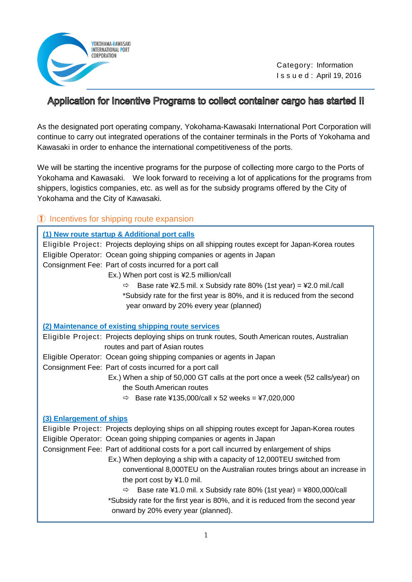

 Category: Information I s s u e d : April 19, 2016

## Application for Incentive Programs to collect container cargo has started !!

As the designated port operating company, Yokohama-Kawasaki International Port Corporation will continue to carry out integrated operations of the container terminals in the Ports of Yokohama and Kawasaki in order to enhance the international competitiveness of the ports.

We will be starting the incentive programs for the purpose of collecting more cargo to the Ports of Yokohama and Kawasaki. We look forward to receiving a lot of applications for the programs from shippers, logistics companies, etc. as well as for the subsidy programs offered by the City of Yokohama and the City of Kawasaki.

## ① Incentives for shipping route expansion

|                          | (1) New route startup & Additional port calls<br>Eligible Project: Projects deploying ships on all shipping routes except for Japan-Korea routes<br>Eligible Operator: Ocean going shipping companies or agents in Japan<br>Consignment Fee: Part of costs incurred for a port call<br>Ex.) When port cost is ¥2.5 million/call<br>Base rate $42.5$ mil. x Subsidy rate 80% (1st year) = $42.0$ mil./call<br>⇨<br>*Subsidy rate for the first year is 80%, and it is reduced from the second<br>year onward by 20% every year (planned) |
|--------------------------|-----------------------------------------------------------------------------------------------------------------------------------------------------------------------------------------------------------------------------------------------------------------------------------------------------------------------------------------------------------------------------------------------------------------------------------------------------------------------------------------------------------------------------------------|
|                          | (2) Maintenance of existing shipping route services                                                                                                                                                                                                                                                                                                                                                                                                                                                                                     |
|                          | Eligible Project: Projects deploying ships on trunk routes, South American routes, Australian<br>routes and part of Asian routes                                                                                                                                                                                                                                                                                                                                                                                                        |
|                          | Eligible Operator: Ocean going shipping companies or agents in Japan                                                                                                                                                                                                                                                                                                                                                                                                                                                                    |
|                          | Consignment Fee: Part of costs incurred for a port call                                                                                                                                                                                                                                                                                                                                                                                                                                                                                 |
|                          | Ex.) When a ship of 50,000 GT calls at the port once a week (52 calls/year) on                                                                                                                                                                                                                                                                                                                                                                                                                                                          |
|                          | the South American routes                                                                                                                                                                                                                                                                                                                                                                                                                                                                                                               |
|                          | $\Rightarrow$ Base rate ¥135,000/call x 52 weeks = ¥7,020,000                                                                                                                                                                                                                                                                                                                                                                                                                                                                           |
| (3) Enlargement of ships |                                                                                                                                                                                                                                                                                                                                                                                                                                                                                                                                         |
|                          | Eligible Project: Projects deploying ships on all shipping routes except for Japan-Korea routes                                                                                                                                                                                                                                                                                                                                                                                                                                         |
|                          | Eligible Operator: Ocean going shipping companies or agents in Japan                                                                                                                                                                                                                                                                                                                                                                                                                                                                    |
|                          | Consignment Fee: Part of additional costs for a port call incurred by enlargement of ships                                                                                                                                                                                                                                                                                                                                                                                                                                              |
|                          | Ex.) When deploying a ship with a capacity of 12,000TEU switched from                                                                                                                                                                                                                                                                                                                                                                                                                                                                   |
|                          | conventional 8,000TEU on the Australian routes brings about an increase in                                                                                                                                                                                                                                                                                                                                                                                                                                                              |
|                          | the port cost by ¥1.0 mil.                                                                                                                                                                                                                                                                                                                                                                                                                                                                                                              |
|                          | Base rate $\text{\#}1.0$ mil. x Subsidy rate 80% (1st year) = $\text{\#}800,000$ /call<br>⇨                                                                                                                                                                                                                                                                                                                                                                                                                                             |
|                          | *Subsidy rate for the first year is 80%, and it is reduced from the second year                                                                                                                                                                                                                                                                                                                                                                                                                                                         |
|                          | onward by 20% every year (planned).                                                                                                                                                                                                                                                                                                                                                                                                                                                                                                     |